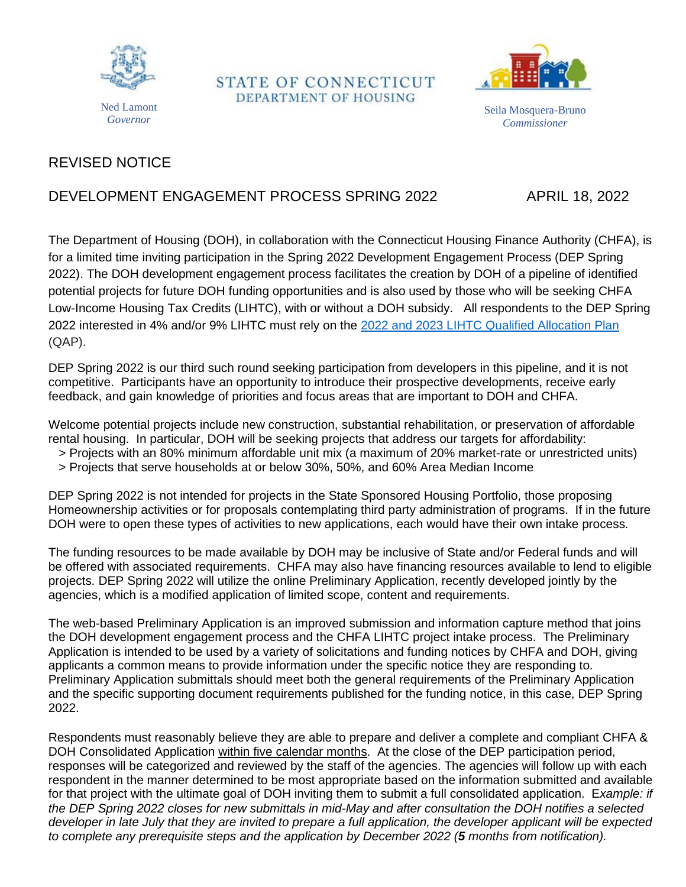

STATE OF CONNECTICUT DEPARTMENT OF HOUSING



Seila Mosquera-Bruno *Commissioner*

# REVISED NOTICE

## DEVELOPMENT ENGAGEMENT PROCESS SPRING 2022 APRIL 18, 2022

The Department of Housing (DOH), in collaboration with the Connecticut Housing Finance Authority (CHFA), is for a limited time inviting participation in the Spring 2022 Development Engagement Process (DEP Spring 2022). The DOH development engagement process facilitates the creation by DOH of a pipeline of identified potential projects for future DOH funding opportunities and is also used by those who will be seeking CHFA Low-Income Housing Tax Credits (LIHTC), with or without a DOH subsidy. All respondents to the DEP Spring 2022 interested in 4% and/or 9% LIHTC must rely on the [2022 and 2023 LIHTC Qualified Allocation Plan](https://www.chfa.org/assets/1/6/FINAL_2022-23_QAP_(July_2021).pdf?10215) (QAP).

DEP Spring 2022 is our third such round seeking participation from developers in this pipeline, and it is not competitive. Participants have an opportunity to introduce their prospective developments, receive early feedback, and gain knowledge of priorities and focus areas that are important to DOH and CHFA.

Welcome potential projects include new construction, substantial rehabilitation, or preservation of affordable rental housing. In particular, DOH will be seeking projects that address our targets for affordability:

- > Projects with an 80% minimum affordable unit mix (a maximum of 20% market-rate or unrestricted units)
- > Projects that serve households at or below 30%, 50%, and 60% Area Median Income

DEP Spring 2022 is not intended for projects in the State Sponsored Housing Portfolio, those proposing Homeownership activities or for proposals contemplating third party administration of programs. If in the future DOH were to open these types of activities to new applications, each would have their own intake process.

The funding resources to be made available by DOH may be inclusive of State and/or Federal funds and will be offered with associated requirements. CHFA may also have financing resources available to lend to eligible projects. DEP Spring 2022 will utilize the online Preliminary Application, recently developed jointly by the agencies, which is a modified application of limited scope, content and requirements.

The web-based Preliminary Application is an improved submission and information capture method that joins the DOH development engagement process and the CHFA LIHTC project intake process. The Preliminary Application is intended to be used by a variety of solicitations and funding notices by CHFA and DOH, giving applicants a common means to provide information under the specific notice they are responding to. Preliminary Application submittals should meet both the general requirements of the Preliminary Application and the specific supporting document requirements published for the funding notice, in this case, DEP Spring 2022.

Respondents must reasonably believe they are able to prepare and deliver a complete and compliant CHFA & DOH Consolidated Application within five calendar months. At the close of the DEP participation period, responses will be categorized and reviewed by the staff of the agencies. The agencies will follow up with each respondent in the manner determined to be most appropriate based on the information submitted and available for that project with the ultimate goal of DOH inviting them to submit a full consolidated application. E*xample: if* the DEP Spring 2022 closes for new submittals in mid-May and after consultation the DOH notifies a selected developer in late July that they are invited to prepare a full application, the developer applicant will be expected *to complete any prerequisite steps and the application by December 2022 (5 months from notification).*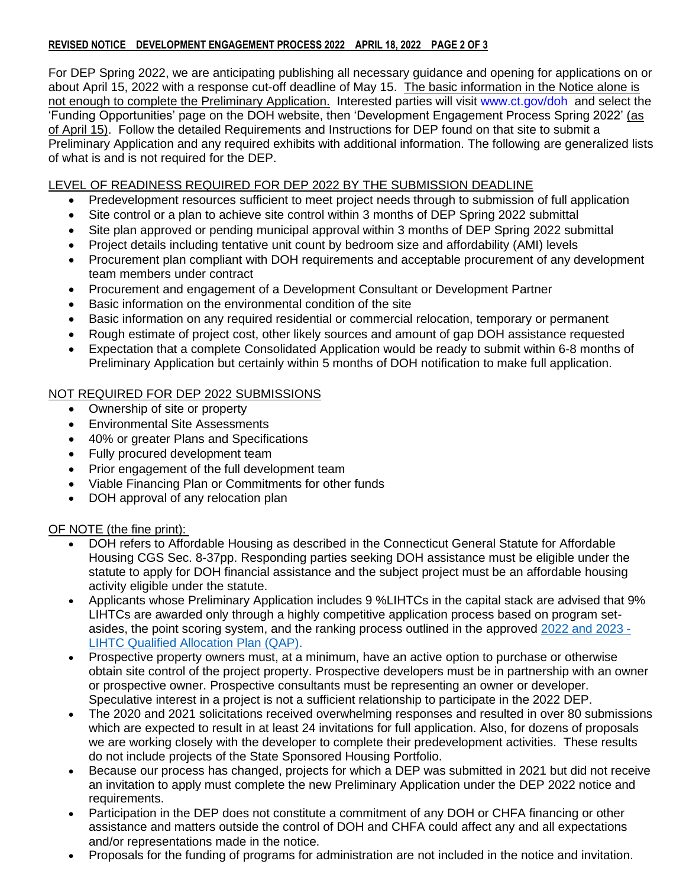#### **REVISED NOTICE DEVELOPMENT ENGAGEMENT PROCESS 2022 APRIL 18, 2022 PAGE 2 OF 3**

For DEP Spring 2022, we are anticipating publishing all necessary guidance and opening for applications on or about April 15, 2022 with a response cut-off deadline of May 15. The basic information in the Notice alone is not enough to complete the Preliminary Application. Interested parties will visit [www.ct.gov/doh](http://www.ct.gov/doh/) and select the 'Funding Opportunities' page on the DOH website, then 'Development Engagement Process Spring 2022' (as of April 15). Follow the detailed Requirements and Instructions for DEP found on that site to submit a Preliminary Application and any required exhibits with additional information. The following are generalized lists of what is and is not required for the DEP.

#### LEVEL OF READINESS REQUIRED FOR DEP 2022 BY THE SUBMISSION DEADLINE

- Predevelopment resources sufficient to meet project needs through to submission of full application
- Site control or a plan to achieve site control within 3 months of DEP Spring 2022 submittal
- Site plan approved or pending municipal approval within 3 months of DEP Spring 2022 submittal
- Project details including tentative unit count by bedroom size and affordability (AMI) levels
- Procurement plan compliant with DOH requirements and acceptable procurement of any development team members under contract
- Procurement and engagement of a Development Consultant or Development Partner
- Basic information on the environmental condition of the site
- Basic information on any required residential or commercial relocation, temporary or permanent
- Rough estimate of project cost, other likely sources and amount of gap DOH assistance requested
- Expectation that a complete Consolidated Application would be ready to submit within 6-8 months of Preliminary Application but certainly within 5 months of DOH notification to make full application.

## NOT REQUIRED FOR DEP 2022 SUBMISSIONS

- Ownership of site or property
- Environmental Site Assessments
- 40% or greater Plans and Specifications
- Fully procured development team
- Prior engagement of the full development team
- Viable Financing Plan or Commitments for other funds
- DOH approval of any relocation plan

### OF NOTE (the fine print):

- DOH refers to Affordable Housing as described in the Connecticut General Statute for Affordable Housing CGS Sec. 8-37pp. Responding parties seeking DOH assistance must be eligible under the statute to apply for DOH financial assistance and the subject project must be an affordable housing activity eligible under the statute.
- Applicants whose Preliminary Application includes 9 %LIHTCs in the capital stack are advised that 9% LIHTCs are awarded only through a highly competitive application process based on program setasides, the point scoring system, and the ranking process outlined in the approved [2022 and 2023 -](https://www.chfa.org/assets/1/6/FINAL_2022-23_QAP_(July_2021).pdf?10215) [LIHTC Qualified Allocation Plan \(QAP\).](https://www.chfa.org/assets/1/6/FINAL_2022-23_QAP_(July_2021).pdf?10215)
- Prospective property owners must, at a minimum, have an active option to purchase or otherwise obtain site control of the project property. Prospective developers must be in partnership with an owner or prospective owner. Prospective consultants must be representing an owner or developer. Speculative interest in a project is not a sufficient relationship to participate in the 2022 DEP.
- The 2020 and 2021 solicitations received overwhelming responses and resulted in over 80 submissions which are expected to result in at least 24 invitations for full application. Also, for dozens of proposals we are working closely with the developer to complete their predevelopment activities. These results do not include projects of the State Sponsored Housing Portfolio.
- Because our process has changed, projects for which a DEP was submitted in 2021 but did not receive an invitation to apply must complete the new Preliminary Application under the DEP 2022 notice and requirements.
- Participation in the DEP does not constitute a commitment of any DOH or CHFA financing or other assistance and matters outside the control of DOH and CHFA could affect any and all expectations and/or representations made in the notice.
- Proposals for the funding of programs for administration are not included in the notice and invitation.